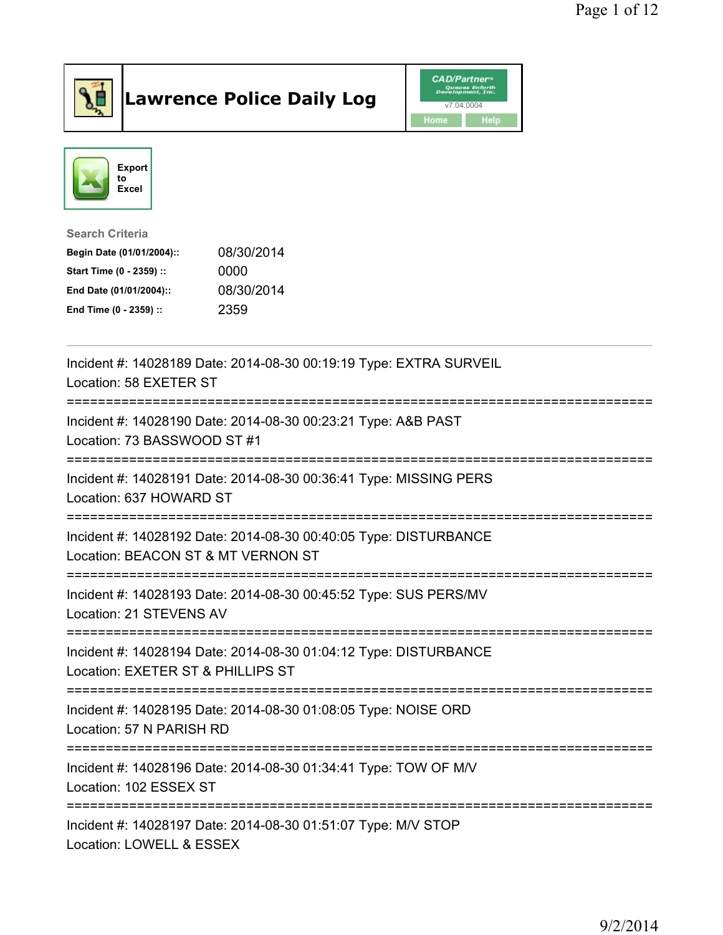

## Lawrence Police Daily Log **Daniel CAD/Partner**





## Search Criteria Begin Date (01/01/2004):: 08/30/2014 Start Time (0 - 2359) :: 0000 End Date (01/01/2004):: 08/30/2014 End Time (0 - 2359) :: 2359

| Incident #: 14028189 Date: 2014-08-30 00:19:19 Type: EXTRA SURVEIL<br>Location: 58 EXETER ST                                           |
|----------------------------------------------------------------------------------------------------------------------------------------|
| Incident #: 14028190 Date: 2014-08-30 00:23:21 Type: A&B PAST<br>Location: 73 BASSWOOD ST #1<br>------------------------               |
| Incident #: 14028191 Date: 2014-08-30 00:36:41 Type: MISSING PERS<br>Location: 637 HOWARD ST                                           |
| Incident #: 14028192 Date: 2014-08-30 00:40:05 Type: DISTURBANCE<br>Location: BEACON ST & MT VERNON ST                                 |
| Incident #: 14028193 Date: 2014-08-30 00:45:52 Type: SUS PERS/MV<br>Location: 21 STEVENS AV<br>----------------------                  |
| Incident #: 14028194 Date: 2014-08-30 01:04:12 Type: DISTURBANCE<br>Location: EXETER ST & PHILLIPS ST<br>----------------------------- |
| Incident #: 14028195 Date: 2014-08-30 01:08:05 Type: NOISE ORD<br>Location: 57 N PARISH RD                                             |
| Incident #: 14028196 Date: 2014-08-30 01:34:41 Type: TOW OF M/V<br>Location: 102 ESSEX ST                                              |
| Incident #: 14028197 Date: 2014-08-30 01:51:07 Type: M/V STOP<br>Location: LOWELL & ESSEX                                              |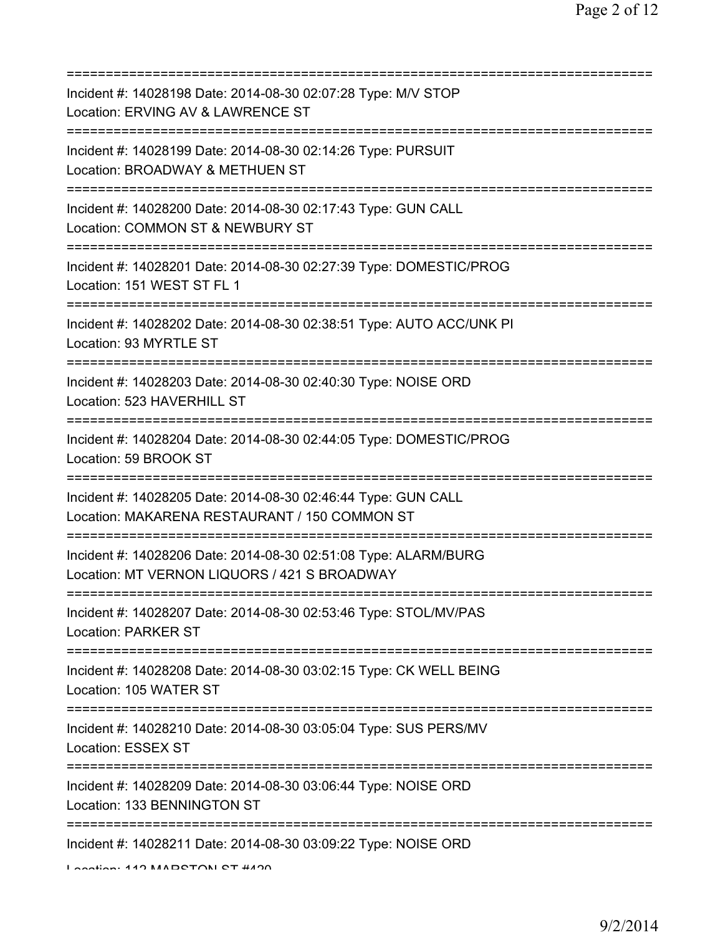| Incident #: 14028198 Date: 2014-08-30 02:07:28 Type: M/V STOP<br>Location: ERVING AV & LAWRENCE ST<br>============================      |
|-----------------------------------------------------------------------------------------------------------------------------------------|
| Incident #: 14028199 Date: 2014-08-30 02:14:26 Type: PURSUIT<br>Location: BROADWAY & METHUEN ST                                         |
| Incident #: 14028200 Date: 2014-08-30 02:17:43 Type: GUN CALL<br>Location: COMMON ST & NEWBURY ST<br>===========================        |
| Incident #: 14028201 Date: 2014-08-30 02:27:39 Type: DOMESTIC/PROG<br>Location: 151 WEST ST FL 1                                        |
| Incident #: 14028202 Date: 2014-08-30 02:38:51 Type: AUTO ACC/UNK PI<br>Location: 93 MYRTLE ST<br>===================================== |
| Incident #: 14028203 Date: 2014-08-30 02:40:30 Type: NOISE ORD<br>Location: 523 HAVERHILL ST<br>=====================================   |
| Incident #: 14028204 Date: 2014-08-30 02:44:05 Type: DOMESTIC/PROG<br>Location: 59 BROOK ST                                             |
| Incident #: 14028205 Date: 2014-08-30 02:46:44 Type: GUN CALL<br>Location: MAKARENA RESTAURANT / 150 COMMON ST                          |
| Incident #: 14028206 Date: 2014-08-30 02:51:08 Type: ALARM/BURG<br>Location: MT VERNON LIQUORS / 421 S BROADWAY                         |
| Incident #: 14028207 Date: 2014-08-30 02:53:46 Type: STOL/MV/PAS<br><b>Location: PARKER ST</b>                                          |
| Incident #: 14028208 Date: 2014-08-30 03:02:15 Type: CK WELL BEING<br>Location: 105 WATER ST                                            |
| Incident #: 14028210 Date: 2014-08-30 03:05:04 Type: SUS PERS/MV<br>Location: ESSEX ST                                                  |
| Incident #: 14028209 Date: 2014-08-30 03:06:44 Type: NOISE ORD<br>Location: 133 BENNINGTON ST                                           |
| Incident #: 14028211 Date: 2014-08-30 03:09:22 Type: NOISE ORD                                                                          |

Location: 110 MARDOTONI OT #4200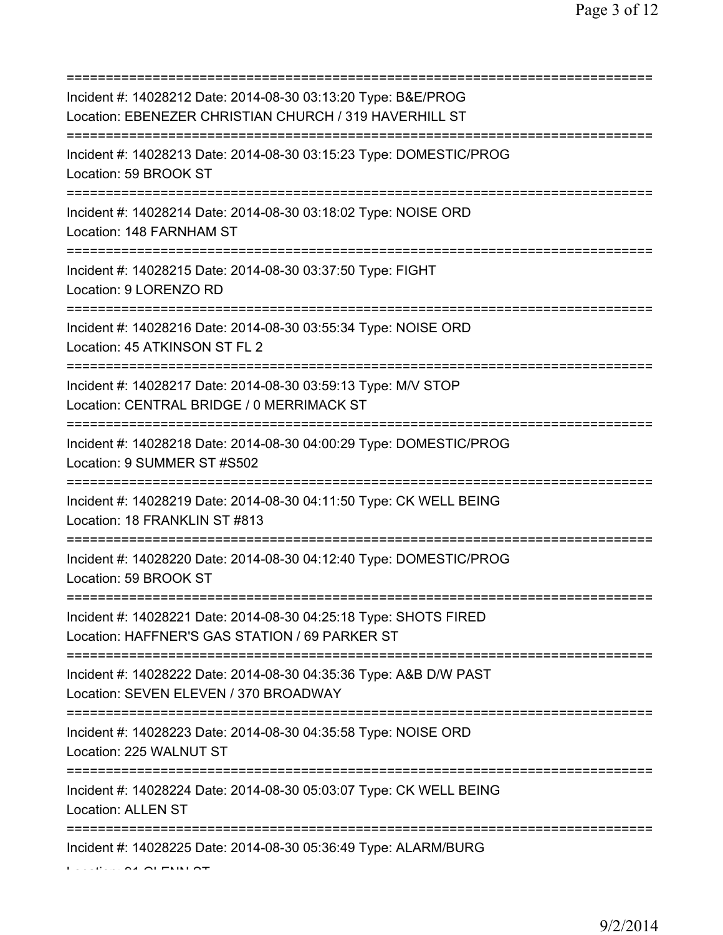| Incident #: 14028212 Date: 2014-08-30 03:13:20 Type: B&E/PROG<br>Location: EBENEZER CHRISTIAN CHURCH / 319 HAVERHILL ST                            |
|----------------------------------------------------------------------------------------------------------------------------------------------------|
| Incident #: 14028213 Date: 2014-08-30 03:15:23 Type: DOMESTIC/PROG<br>Location: 59 BROOK ST                                                        |
| Incident #: 14028214 Date: 2014-08-30 03:18:02 Type: NOISE ORD<br>Location: 148 FARNHAM ST                                                         |
| Incident #: 14028215 Date: 2014-08-30 03:37:50 Type: FIGHT<br>Location: 9 LORENZO RD                                                               |
| =====================================<br>Incident #: 14028216 Date: 2014-08-30 03:55:34 Type: NOISE ORD<br>Location: 45 ATKINSON ST FL 2           |
| ====================================<br>Incident #: 14028217 Date: 2014-08-30 03:59:13 Type: M/V STOP<br>Location: CENTRAL BRIDGE / 0 MERRIMACK ST |
| Incident #: 14028218 Date: 2014-08-30 04:00:29 Type: DOMESTIC/PROG<br>Location: 9 SUMMER ST #S502                                                  |
| Incident #: 14028219 Date: 2014-08-30 04:11:50 Type: CK WELL BEING<br>Location: 18 FRANKLIN ST #813                                                |
| Incident #: 14028220 Date: 2014-08-30 04:12:40 Type: DOMESTIC/PROG<br>Location: 59 BROOK ST                                                        |
| Incident #: 14028221 Date: 2014-08-30 04:25:18 Type: SHOTS FIRED<br>Location: HAFFNER'S GAS STATION / 69 PARKER ST                                 |
| Incident #: 14028222 Date: 2014-08-30 04:35:36 Type: A&B D/W PAST<br>Location: SEVEN ELEVEN / 370 BROADWAY                                         |
| :====================================<br>Incident #: 14028223 Date: 2014-08-30 04:35:58 Type: NOISE ORD<br>Location: 225 WALNUT ST                 |
| ===================================<br>Incident #: 14028224 Date: 2014-08-30 05:03:07 Type: CK WELL BEING<br><b>Location: ALLEN ST</b>             |
| Incident #: 14028225 Date: 2014-08-30 05:36:49 Type: ALARM/BURG                                                                                    |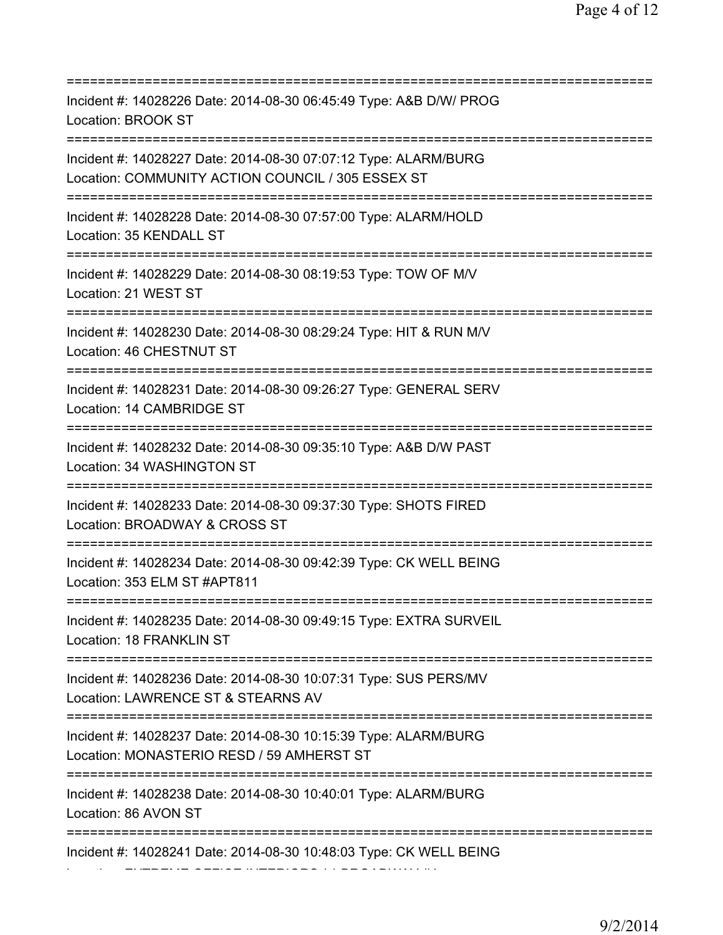=========================================================================== Incident #: 14028226 Date: 2014-08-30 06:45:49 Type: A&B D/W/ PROG Location: BROOK ST =========================================================================== Incident #: 14028227 Date: 2014-08-30 07:07:12 Type: ALARM/BURG Location: COMMUNITY ACTION COUNCIL / 305 ESSEX ST =========================================================================== Incident #: 14028228 Date: 2014-08-30 07:57:00 Type: ALARM/HOLD Location: 35 KENDALL ST =========================================================================== Incident #: 14028229 Date: 2014-08-30 08:19:53 Type: TOW OF M/V Location: 21 WEST ST =========================================================================== Incident #: 14028230 Date: 2014-08-30 08:29:24 Type: HIT & RUN M/V Location: 46 CHESTNUT ST =========================================================================== Incident #: 14028231 Date: 2014-08-30 09:26:27 Type: GENERAL SERV Location: 14 CAMBRIDGE ST =========================================================================== Incident #: 14028232 Date: 2014-08-30 09:35:10 Type: A&B D/W PAST Location: 34 WASHINGTON ST =========================================================================== Incident #: 14028233 Date: 2014-08-30 09:37:30 Type: SHOTS FIRED Location: BROADWAY & CROSS ST =========================================================================== Incident #: 14028234 Date: 2014-08-30 09:42:39 Type: CK WELL BEING Location: 353 ELM ST #APT811 =========================================================================== Incident #: 14028235 Date: 2014-08-30 09:49:15 Type: EXTRA SURVEIL Location: 18 FRANKLIN ST =========================================================================== Incident #: 14028236 Date: 2014-08-30 10:07:31 Type: SUS PERS/MV Location: LAWRENCE ST & STEARNS AV =========================================================================== Incident #: 14028237 Date: 2014-08-30 10:15:39 Type: ALARM/BURG Location: MONASTERIO RESD / 59 AMHERST ST =========================================================================== Incident #: 14028238 Date: 2014-08-30 10:40:01 Type: ALARM/BURG Location: 86 AVON ST =========================================================================== Incident #: 14028241 Date: 2014-08-30 10:48:03 Type: CK WELL BEING

Location: EXTREME OFFICE INTERIORS / 1 BROADWAY #4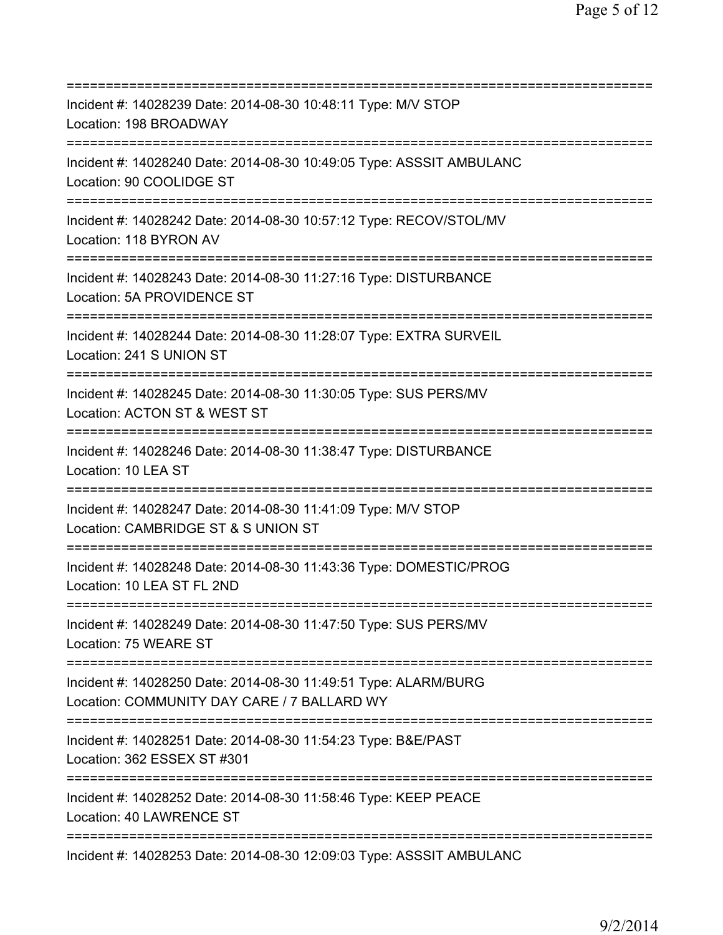| Incident #: 14028239 Date: 2014-08-30 10:48:11 Type: M/V STOP<br>Location: 198 BROADWAY                                              |
|--------------------------------------------------------------------------------------------------------------------------------------|
| Incident #: 14028240 Date: 2014-08-30 10:49:05 Type: ASSSIT AMBULANC<br>Location: 90 COOLIDGE ST<br>;=====================           |
| Incident #: 14028242 Date: 2014-08-30 10:57:12 Type: RECOV/STOL/MV<br>Location: 118 BYRON AV                                         |
| Incident #: 14028243 Date: 2014-08-30 11:27:16 Type: DISTURBANCE<br>Location: 5A PROVIDENCE ST<br>===============                    |
| Incident #: 14028244 Date: 2014-08-30 11:28:07 Type: EXTRA SURVEIL<br>Location: 241 S UNION ST<br>.--------------------------------- |
| Incident #: 14028245 Date: 2014-08-30 11:30:05 Type: SUS PERS/MV<br>Location: ACTON ST & WEST ST                                     |
| Incident #: 14028246 Date: 2014-08-30 11:38:47 Type: DISTURBANCE<br>Location: 10 LEA ST                                              |
| Incident #: 14028247 Date: 2014-08-30 11:41:09 Type: M/V STOP<br>Location: CAMBRIDGE ST & S UNION ST                                 |
| Incident #: 14028248 Date: 2014-08-30 11:43:36 Type: DOMESTIC/PROG<br>Location: 10 LEA ST FL 2ND                                     |
| Incident #: 14028249 Date: 2014-08-30 11:47:50 Type: SUS PERS/MV<br>Location: 75 WEARE ST                                            |
| Incident #: 14028250 Date: 2014-08-30 11:49:51 Type: ALARM/BURG<br>Location: COMMUNITY DAY CARE / 7 BALLARD WY                       |
| Incident #: 14028251 Date: 2014-08-30 11:54:23 Type: B&E/PAST<br>Location: 362 ESSEX ST #301                                         |
| Incident #: 14028252 Date: 2014-08-30 11:58:46 Type: KEEP PEACE<br>Location: 40 LAWRENCE ST                                          |
| Incident #: 14028253 Date: 2014-08-30 12:09:03 Type: ASSSIT AMBULANC                                                                 |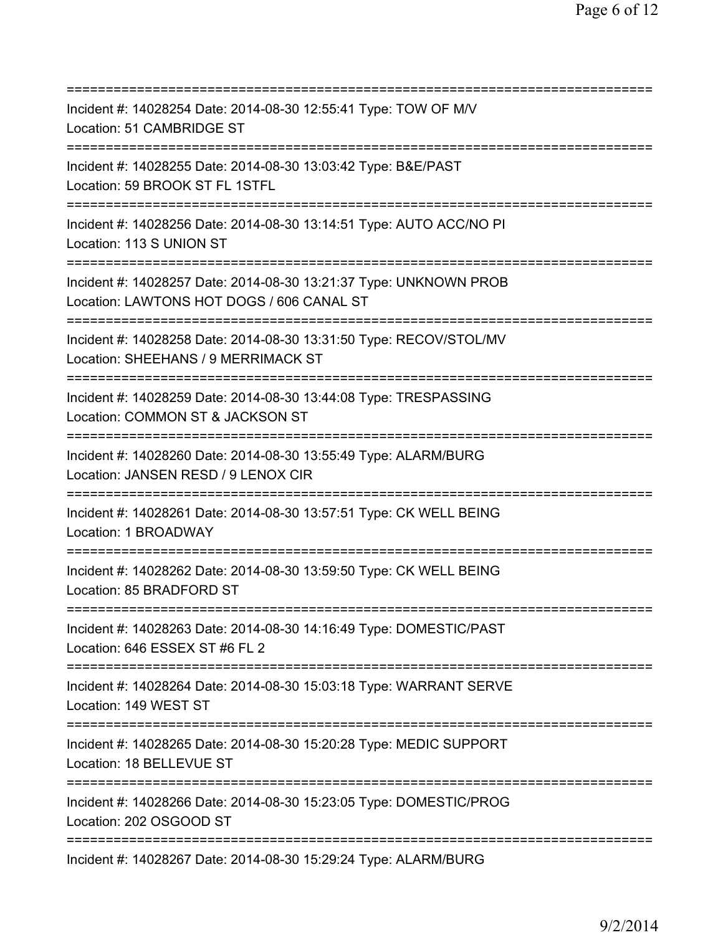| Incident #: 14028254 Date: 2014-08-30 12:55:41 Type: TOW OF M/V<br>Location: 51 CAMBRIDGE ST                                                             |
|----------------------------------------------------------------------------------------------------------------------------------------------------------|
| Incident #: 14028255 Date: 2014-08-30 13:03:42 Type: B&E/PAST<br>Location: 59 BROOK ST FL 1STFL                                                          |
| Incident #: 14028256 Date: 2014-08-30 13:14:51 Type: AUTO ACC/NO PI<br>Location: 113 S UNION ST                                                          |
| Incident #: 14028257 Date: 2014-08-30 13:21:37 Type: UNKNOWN PROB<br>Location: LAWTONS HOT DOGS / 606 CANAL ST<br>====================================== |
| Incident #: 14028258 Date: 2014-08-30 13:31:50 Type: RECOV/STOL/MV<br>Location: SHEEHANS / 9 MERRIMACK ST                                                |
| Incident #: 14028259 Date: 2014-08-30 13:44:08 Type: TRESPASSING<br>Location: COMMON ST & JACKSON ST<br>======================                           |
| Incident #: 14028260 Date: 2014-08-30 13:55:49 Type: ALARM/BURG<br>Location: JANSEN RESD / 9 LENOX CIR                                                   |
| Incident #: 14028261 Date: 2014-08-30 13:57:51 Type: CK WELL BEING<br>Location: 1 BROADWAY                                                               |
| Incident #: 14028262 Date: 2014-08-30 13:59:50 Type: CK WELL BEING<br>Location: 85 BRADFORD ST                                                           |
| Incident #: 14028263 Date: 2014-08-30 14:16:49 Type: DOMESTIC/PAST<br>Location: 646 ESSEX ST #6 FL 2                                                     |
| Incident #: 14028264 Date: 2014-08-30 15:03:18 Type: WARRANT SERVE<br>Location: 149 WEST ST<br>=======================                                   |
| Incident #: 14028265 Date: 2014-08-30 15:20:28 Type: MEDIC SUPPORT<br>Location: 18 BELLEVUE ST<br>==================================                     |
| Incident #: 14028266 Date: 2014-08-30 15:23:05 Type: DOMESTIC/PROG<br>Location: 202 OSGOOD ST                                                            |
| Incident #: 14028267 Date: 2014-08-30 15:29:24 Type: ALARM/BURG                                                                                          |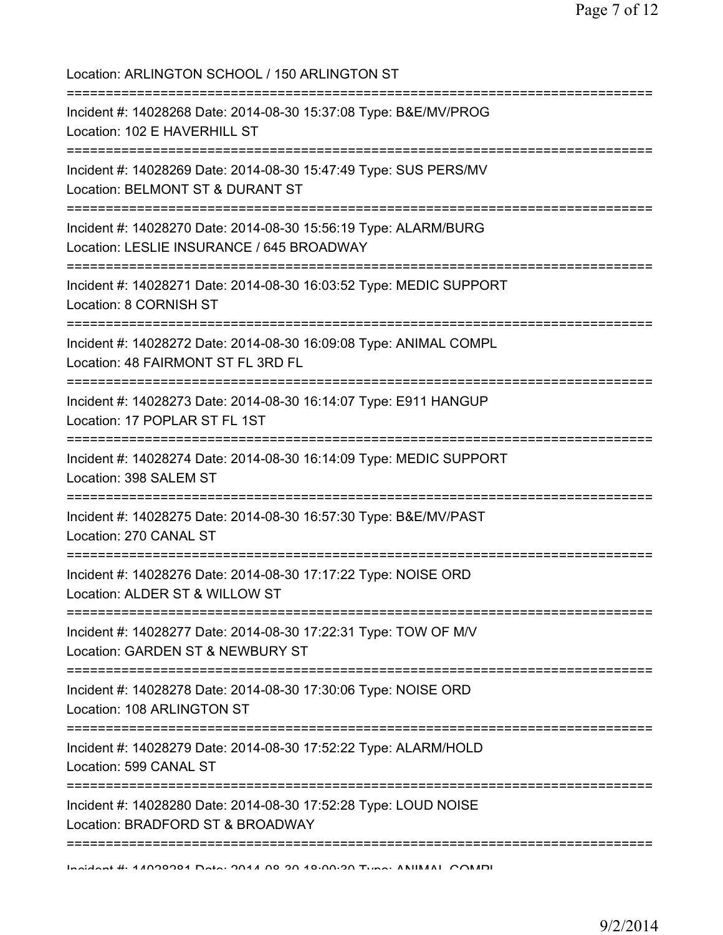| Location: ARLINGTON SCHOOL / 150 ARLINGTON ST<br>===================================                                           |
|--------------------------------------------------------------------------------------------------------------------------------|
| Incident #: 14028268 Date: 2014-08-30 15:37:08 Type: B&E/MV/PROG<br>Location: 102 E HAVERHILL ST<br>-------------------------- |
| Incident #: 14028269 Date: 2014-08-30 15:47:49 Type: SUS PERS/MV<br>Location: BELMONT ST & DURANT ST                           |
| Incident #: 14028270 Date: 2014-08-30 15:56:19 Type: ALARM/BURG<br>Location: LESLIE INSURANCE / 645 BROADWAY                   |
| Incident #: 14028271 Date: 2014-08-30 16:03:52 Type: MEDIC SUPPORT<br>Location: 8 CORNISH ST                                   |
| Incident #: 14028272 Date: 2014-08-30 16:09:08 Type: ANIMAL COMPL<br>Location: 48 FAIRMONT ST FL 3RD FL                        |
| Incident #: 14028273 Date: 2014-08-30 16:14:07 Type: E911 HANGUP<br>Location: 17 POPLAR ST FL 1ST                              |
| Incident #: 14028274 Date: 2014-08-30 16:14:09 Type: MEDIC SUPPORT<br>Location: 398 SALEM ST                                   |
| Incident #: 14028275 Date: 2014-08-30 16:57:30 Type: B&E/MV/PAST<br>Location: 270 CANAL ST                                     |
| Incident #: 14028276 Date: 2014-08-30 17:17:22 Type: NOISE ORD<br>Location: ALDER ST & WILLOW ST                               |
| Incident #: 14028277 Date: 2014-08-30 17:22:31 Type: TOW OF M/V<br>Location: GARDEN ST & NEWBURY ST                            |
| Incident #: 14028278 Date: 2014-08-30 17:30:06 Type: NOISE ORD<br>Location: 108 ARLINGTON ST                                   |
| Incident #: 14028279 Date: 2014-08-30 17:52:22 Type: ALARM/HOLD<br>Location: 599 CANAL ST                                      |
| Incident #: 14028280 Date: 2014-08-30 17:52:28 Type: LOUD NOISE<br>Location: BRADFORD ST & BROADWAY                            |
| Indident # 4 ACOOOA Data: OOA A OO OO AOOOO Tung: ANIIMAN COMMO                                                                |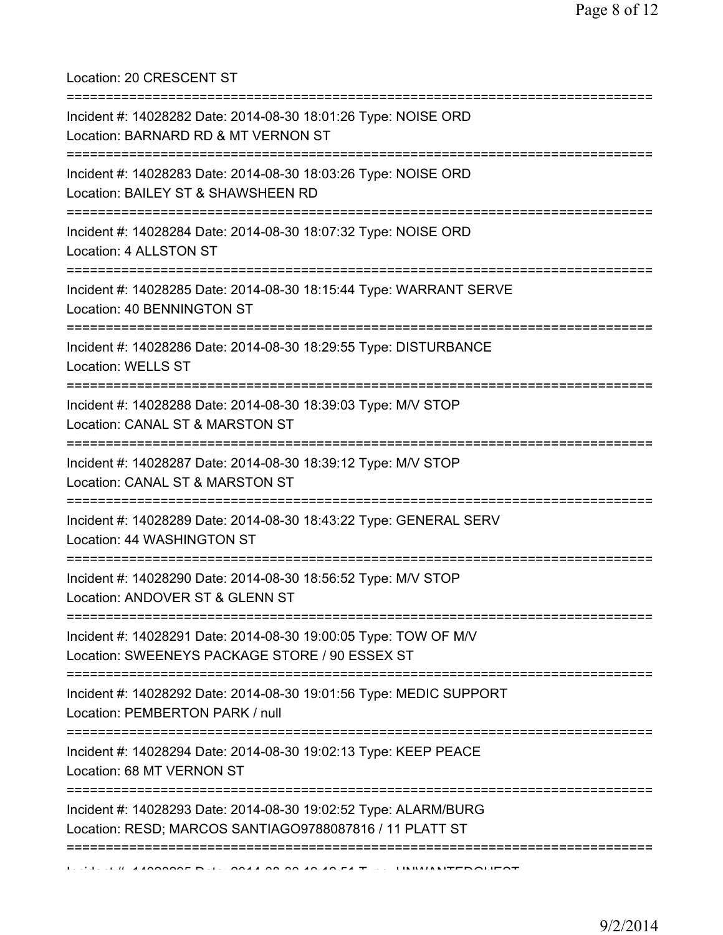Location: 20 CRESCENT ST

| Incident #: 14028282 Date: 2014-08-30 18:01:26 Type: NOISE ORD<br>Location: BARNARD RD & MT VERNON ST<br>------------------------------- |
|------------------------------------------------------------------------------------------------------------------------------------------|
| Incident #: 14028283 Date: 2014-08-30 18:03:26 Type: NOISE ORD<br>Location: BAILEY ST & SHAWSHEEN RD                                     |
| Incident #: 14028284 Date: 2014-08-30 18:07:32 Type: NOISE ORD<br>Location: 4 ALLSTON ST                                                 |
| Incident #: 14028285 Date: 2014-08-30 18:15:44 Type: WARRANT SERVE<br>Location: 40 BENNINGTON ST                                         |
| Incident #: 14028286 Date: 2014-08-30 18:29:55 Type: DISTURBANCE<br><b>Location: WELLS ST</b>                                            |
| Incident #: 14028288 Date: 2014-08-30 18:39:03 Type: M/V STOP<br>Location: CANAL ST & MARSTON ST                                         |
| Incident #: 14028287 Date: 2014-08-30 18:39:12 Type: M/V STOP<br>Location: CANAL ST & MARSTON ST                                         |
| Incident #: 14028289 Date: 2014-08-30 18:43:22 Type: GENERAL SERV<br>Location: 44 WASHINGTON ST                                          |
| Incident #: 14028290 Date: 2014-08-30 18:56:52 Type: M/V STOP<br>Location: ANDOVER ST & GLENN ST                                         |
| Incident #: 14028291 Date: 2014-08-30 19:00:05 Type: TOW OF M/V<br>Location: SWEENEYS PACKAGE STORE / 90 ESSEX ST                        |
| Incident #: 14028292 Date: 2014-08-30 19:01:56 Type: MEDIC SUPPORT<br>Location: PEMBERTON PARK / null                                    |
| Incident #: 14028294 Date: 2014-08-30 19:02:13 Type: KEEP PEACE<br>Location: 68 MT VERNON ST                                             |
| Incident #: 14028293 Date: 2014-08-30 19:02:52 Type: ALARM/BURG<br>Location: RESD; MARCOS SANTIAGO9788087816 / 11 PLATT ST               |
|                                                                                                                                          |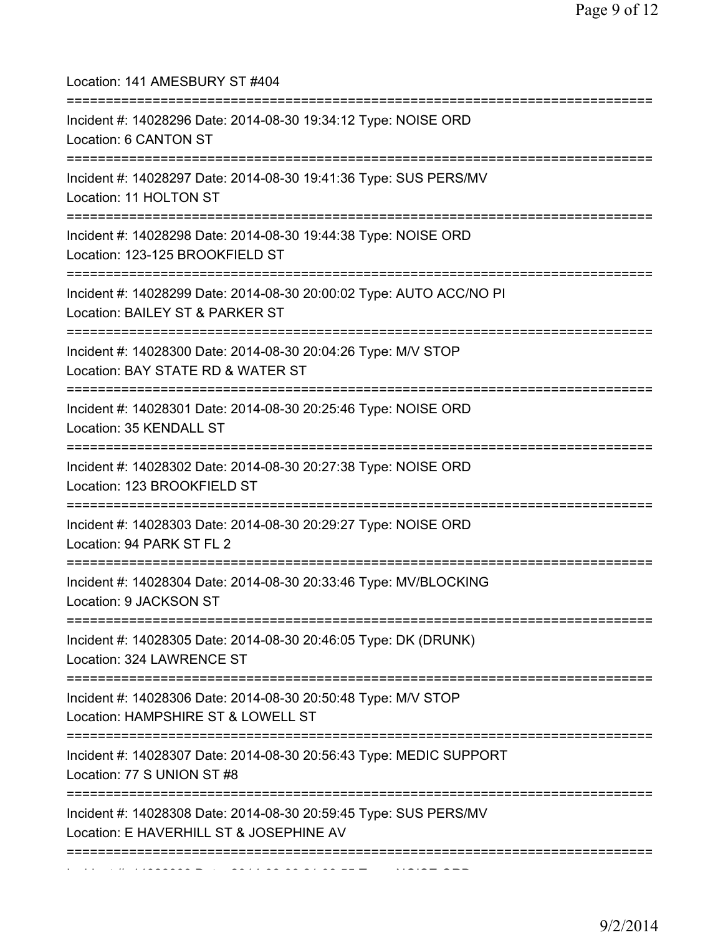| Location: 141 AMESBURY ST #404                                                                                                 |
|--------------------------------------------------------------------------------------------------------------------------------|
| Incident #: 14028296 Date: 2014-08-30 19:34:12 Type: NOISE ORD<br>Location: 6 CANTON ST<br>=================================== |
| Incident #: 14028297 Date: 2014-08-30 19:41:36 Type: SUS PERS/MV<br>Location: 11 HOLTON ST                                     |
| Incident #: 14028298 Date: 2014-08-30 19:44:38 Type: NOISE ORD<br>Location: 123-125 BROOKFIELD ST                              |
| Incident #: 14028299 Date: 2014-08-30 20:00:02 Type: AUTO ACC/NO PI<br>Location: BAILEY ST & PARKER ST                         |
| Incident #: 14028300 Date: 2014-08-30 20:04:26 Type: M/V STOP<br>Location: BAY STATE RD & WATER ST                             |
| Incident #: 14028301 Date: 2014-08-30 20:25:46 Type: NOISE ORD<br>Location: 35 KENDALL ST                                      |
| Incident #: 14028302 Date: 2014-08-30 20:27:38 Type: NOISE ORD<br>Location: 123 BROOKFIELD ST                                  |
| Incident #: 14028303 Date: 2014-08-30 20:29:27 Type: NOISE ORD<br>Location: 94 PARK ST FL 2                                    |
| Incident #: 14028304 Date: 2014-08-30 20:33:46 Type: MV/BLOCKING<br>Location: 9 JACKSON ST                                     |
| =============================<br>Incident #: 14028305 Date: 2014-08-30 20:46:05 Type: DK (DRUNK)<br>Location: 324 LAWRENCE ST  |
| Incident #: 14028306 Date: 2014-08-30 20:50:48 Type: M/V STOP<br>Location: HAMPSHIRE ST & LOWELL ST                            |
| Incident #: 14028307 Date: 2014-08-30 20:56:43 Type: MEDIC SUPPORT<br>Location: 77 S UNION ST #8                               |
| Incident #: 14028308 Date: 2014-08-30 20:59:45 Type: SUS PERS/MV<br>Location: E HAVERHILL ST & JOSEPHINE AV                    |
|                                                                                                                                |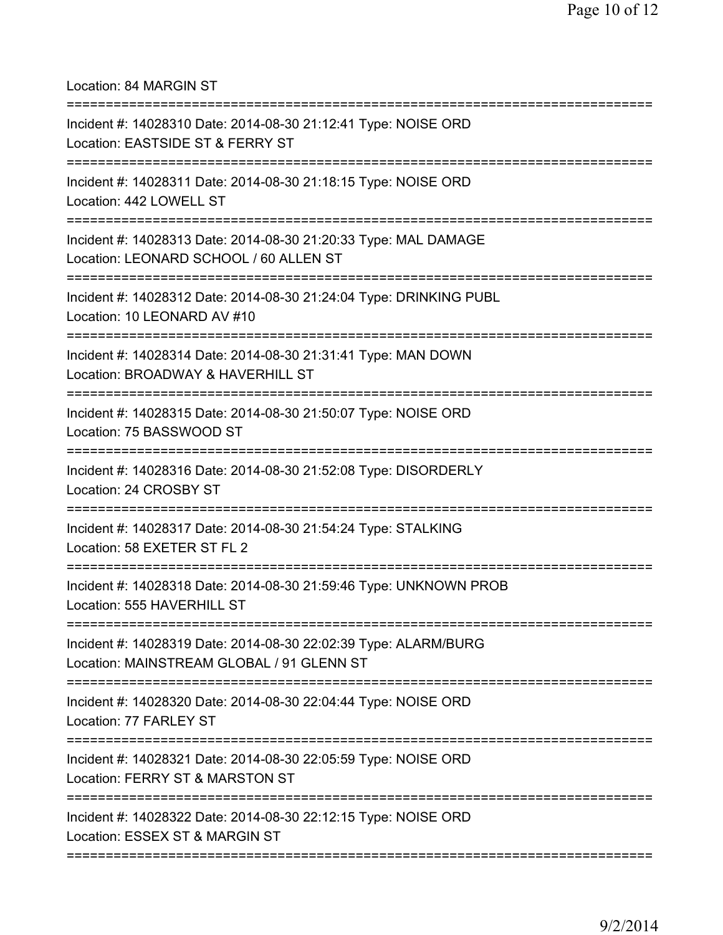Location: 84 MARGIN ST

| Incident #: 14028310 Date: 2014-08-30 21:12:41 Type: NOISE ORD<br>Location: EASTSIDE ST & FERRY ST           |
|--------------------------------------------------------------------------------------------------------------|
| Incident #: 14028311 Date: 2014-08-30 21:18:15 Type: NOISE ORD<br>Location: 442 LOWELL ST                    |
| Incident #: 14028313 Date: 2014-08-30 21:20:33 Type: MAL DAMAGE<br>Location: LEONARD SCHOOL / 60 ALLEN ST    |
| Incident #: 14028312 Date: 2014-08-30 21:24:04 Type: DRINKING PUBL<br>Location: 10 LEONARD AV #10            |
| Incident #: 14028314 Date: 2014-08-30 21:31:41 Type: MAN DOWN<br>Location: BROADWAY & HAVERHILL ST           |
| Incident #: 14028315 Date: 2014-08-30 21:50:07 Type: NOISE ORD<br>Location: 75 BASSWOOD ST                   |
| Incident #: 14028316 Date: 2014-08-30 21:52:08 Type: DISORDERLY<br>Location: 24 CROSBY ST                    |
| Incident #: 14028317 Date: 2014-08-30 21:54:24 Type: STALKING<br>Location: 58 EXETER ST FL 2                 |
| Incident #: 14028318 Date: 2014-08-30 21:59:46 Type: UNKNOWN PROB<br>Location: 555 HAVERHILL ST              |
| Incident #: 14028319 Date: 2014-08-30 22:02:39 Type: ALARM/BURG<br>Location: MAINSTREAM GLOBAL / 91 GLENN ST |
| Incident #: 14028320 Date: 2014-08-30 22:04:44 Type: NOISE ORD<br>Location: 77 FARLEY ST                     |
| Incident #: 14028321 Date: 2014-08-30 22:05:59 Type: NOISE ORD<br>Location: FERRY ST & MARSTON ST            |
| Incident #: 14028322 Date: 2014-08-30 22:12:15 Type: NOISE ORD<br>Location: ESSEX ST & MARGIN ST             |
|                                                                                                              |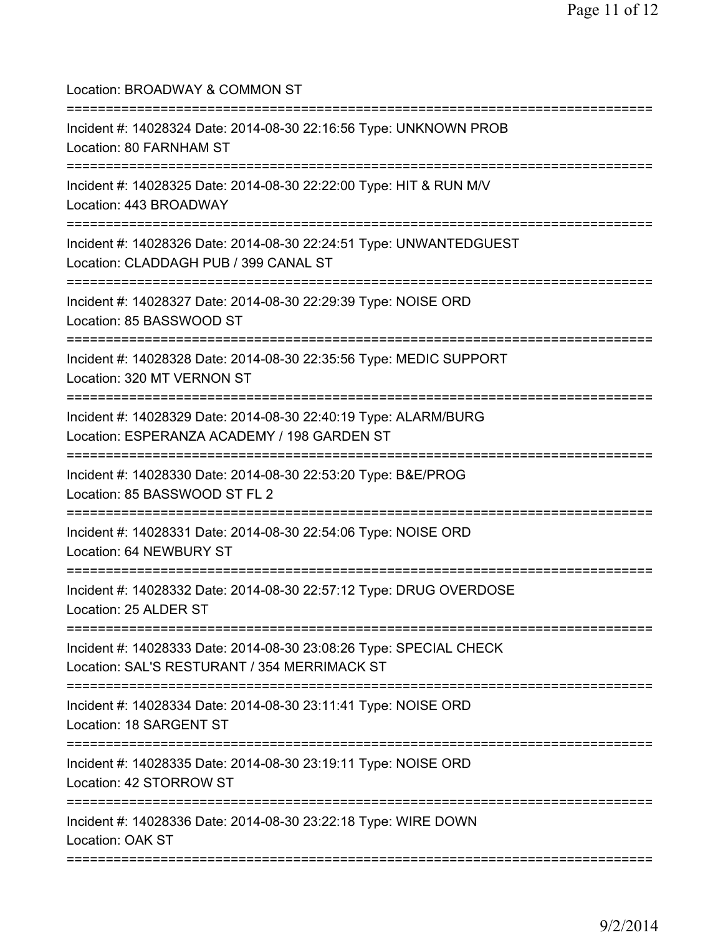| Location: BROADWAY & COMMON ST<br>=====================================                                                                                     |
|-------------------------------------------------------------------------------------------------------------------------------------------------------------|
| Incident #: 14028324 Date: 2014-08-30 22:16:56 Type: UNKNOWN PROB<br>Location: 80 FARNHAM ST<br>=====================================                       |
| Incident #: 14028325 Date: 2014-08-30 22:22:00 Type: HIT & RUN M/V<br>Location: 443 BROADWAY<br>====================================                        |
| Incident #: 14028326 Date: 2014-08-30 22:24:51 Type: UNWANTEDGUEST<br>Location: CLADDAGH PUB / 399 CANAL ST<br>===================                          |
| Incident #: 14028327 Date: 2014-08-30 22:29:39 Type: NOISE ORD<br>Location: 85 BASSWOOD ST                                                                  |
| ===========================<br>Incident #: 14028328 Date: 2014-08-30 22:35:56 Type: MEDIC SUPPORT<br>Location: 320 MT VERNON ST                             |
| ================================<br>Incident #: 14028329 Date: 2014-08-30 22:40:19 Type: ALARM/BURG<br>Location: ESPERANZA ACADEMY / 198 GARDEN ST          |
| Incident #: 14028330 Date: 2014-08-30 22:53:20 Type: B&E/PROG<br>Location: 85 BASSWOOD ST FL 2                                                              |
| =========================<br>==============<br>Incident #: 14028331 Date: 2014-08-30 22:54:06 Type: NOISE ORD<br>Location: 64 NEWBURY ST                    |
| Incident #: 14028332 Date: 2014-08-30 22:57:12 Type: DRUG OVERDOSE<br>Location: 25 ALDER ST.                                                                |
| =====================================<br>Incident #: 14028333 Date: 2014-08-30 23:08:26 Type: SPECIAL CHECK<br>Location: SAL'S RESTURANT / 354 MERRIMACK ST |
| Incident #: 14028334 Date: 2014-08-30 23:11:41 Type: NOISE ORD<br>Location: 18 SARGENT ST                                                                   |
| Incident #: 14028335 Date: 2014-08-30 23:19:11 Type: NOISE ORD<br>Location: 42 STORROW ST                                                                   |
| Incident #: 14028336 Date: 2014-08-30 23:22:18 Type: WIRE DOWN<br>Location: OAK ST                                                                          |
|                                                                                                                                                             |